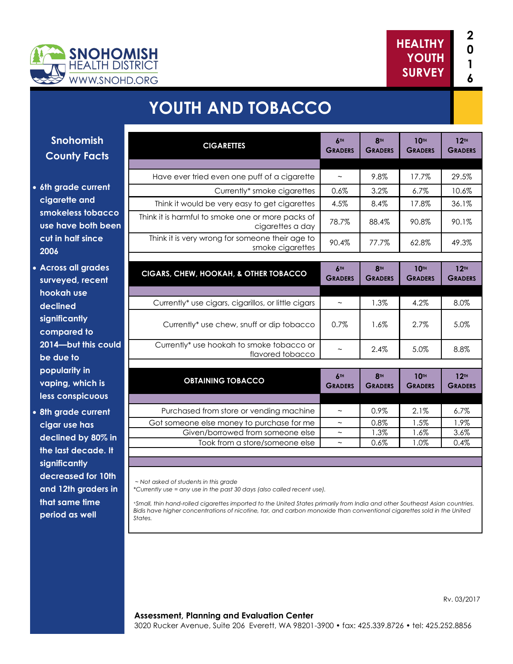



# **YOUTH AND TOBACCO**

#### **Snohomish County Facts**

- **6th grade current cigarette and smokeless tobacco use have both been cut in half since 2006**
- **Across all grades surveyed, recent hookah use declined significantly compared to 2014—but this could be due to popularity in vaping, which is less conspicuous**
- **8th grade current cigar use has declined by 80% in the last decade. It significantly decreased for 10th and 12th graders in that same time period as well**

| <b>CIGARETTES</b>                                                     | <b>6TH</b><br><b>GRADERS</b>      | <b>8TH</b><br><b>GRADERS</b> | <b>10TH</b><br><b>GRADERS</b> | 12 <sub>TH</sub><br><b>GRADERS</b> |
|-----------------------------------------------------------------------|-----------------------------------|------------------------------|-------------------------------|------------------------------------|
|                                                                       |                                   |                              |                               |                                    |
| Have ever tried even one puff of a cigarette                          | $\thicksim$                       | 9.8%                         | 17.7%                         | 29.5%                              |
| Currently* smoke cigarettes                                           | 0.6%                              | 3.2%                         | 6.7%                          | 10.6%                              |
| Think it would be very easy to get cigarettes                         | 4.5%                              | 8.4%                         | 17.8%                         | 36.1%                              |
| Think it is harmful to smoke one or more packs of<br>cigarettes a day | 78.7%                             | 88.4%                        | 90.8%                         | 90.1%                              |
| Think it is very wrong for someone their age to<br>smoke cigarettes   | 90.4%                             | 77.7%                        | 62.8%                         | 49.3%                              |
|                                                                       |                                   |                              |                               |                                    |
| CIGARS, CHEW, HOOKAH, & OTHER TOBACCO                                 | 6 <sup>TH</sup><br><b>GRADERS</b> | <b>8TH</b><br><b>GRADERS</b> | <b>10TH</b><br><b>GRADERS</b> | 12 <sup>TH</sup><br><b>GRADERS</b> |
|                                                                       |                                   |                              |                               |                                    |
| Currently* use cigars, cigarillos, or little cigars                   | $\thicksim$                       | 1.3%                         | 4.2%                          | 8.0%                               |
| Currently* use chew, snuff or dip tobacco                             | 0.7%                              | 1.6%                         | 2.7%                          | 5.0%                               |
| Currently* use hookah to smoke tobacco or<br>flavored tobacco         |                                   | 2.4%                         | 5.0%                          | 8.8%                               |
|                                                                       |                                   |                              |                               |                                    |
| <b>OBTAINING TOBACCO</b>                                              | 6TH<br><b>GRADERS</b>             | <b>8TH</b><br><b>GRADERS</b> | <b>10TH</b><br><b>GRADERS</b> | 12 <sup>TH</sup><br><b>GRADERS</b> |
|                                                                       |                                   |                              |                               |                                    |
| Purchased from store or vending machine                               | $\widetilde{\phantom{m}}$         | 0.9%                         | 2.1%                          | 6.7%                               |
| Got someone else money to purchase for me                             | $\sim$                            | 0.8%                         | 1.5%                          | 1.9%                               |
| Given/borrowed from someone else                                      | $\widetilde{\phantom{m}}$         | 1.3%                         | 1.6%                          | 3.6%                               |
| Took from a store/someone else                                        | $\widetilde{\phantom{m}}$         | 0.6%                         | 1.0%                          | 0.4%                               |

*~ Not asked of students in this grade*

*\*Currently use = any use in the past 30 days (also called recent use).* 

<sup>+</sup>*Small, thin hand-rolled cigarettes imported to the United States primarily from India and other Southeast Asian countries. Bidis have higher concentrations of nicotine, tar, and carbon monoxide than conventional cigarettes sold in the United States.*

#### **Assessment, Planning and Evaluation Center** 3020 Rucker Avenue, Suite 206 Everett, WA 98201-3900 • fax: 425.339.8726 • tel: 425.252.8856